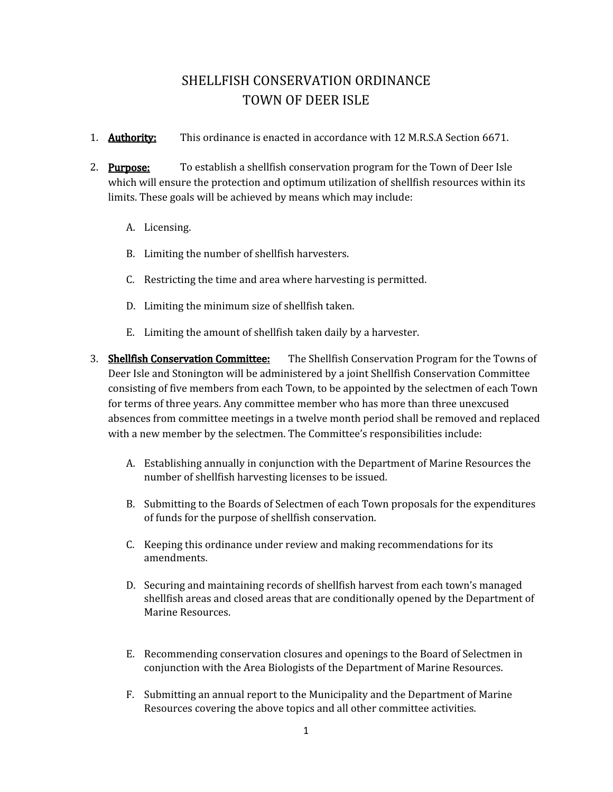## SHELLFISH CONSERVATION ORDINANCE TOWN OF DEER ISLE

- 1. **Authority:** This ordinance is enacted in accordance with 12 M.R.S.A Section 6671.
- 2. **Purpose:** To establish a shellfish conservation program for the Town of Deer Isle which will ensure the protection and optimum utilization of shellfish resources within its limits. These goals will be achieved by means which may include:
	- A. Licensing.
	- B. Limiting the number of shellfish harvesters.
	- C. Restricting the time and area where harvesting is permitted.
	- D. Limiting the minimum size of shellfish taken.
	- E. Limiting the amount of shellfish taken daily by a harvester.
- 3. Shellfish Conservation Committee: The Shellfish Conservation Program for the Towns of Deer Isle and Stonington will be administered by a joint Shellfish Conservation Committee consisting of five members from each Town, to be appointed by the selectmen of each Town for terms of three years. Any committee member who has more than three unexcused absences from committee meetings in a twelve month period shall be removed and replaced with a new member by the selectmen. The Committee's responsibilities include:
	- A. Establishing annually in conjunction with the Department of Marine Resources the number of shellfish harvesting licenses to be issued.
	- B. Submitting to the Boards of Selectmen of each Town proposals for the expenditures of funds for the purpose of shellfish conservation.
	- C. Keeping this ordinance under review and making recommendations for its amendments.
	- D. Securing and maintaining records of shellfish harvest from each town's managed shellfish areas and closed areas that are conditionally opened by the Department of Marine Resources.
	- E. Recommending conservation closures and openings to the Board of Selectmen in conjunction with the Area Biologists of the Department of Marine Resources.
	- F. Submitting an annual report to the Municipality and the Department of Marine Resources covering the above topics and all other committee activities.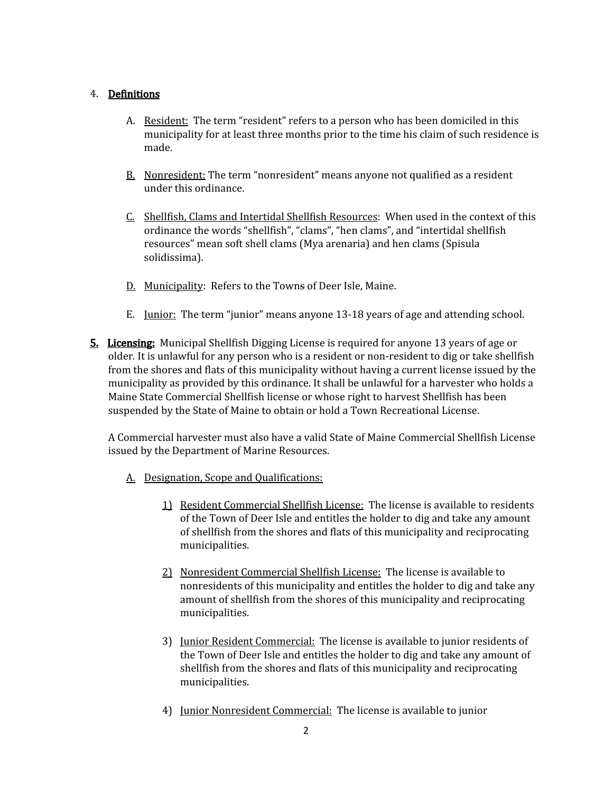## 4. Definitions

- A. Resident: The term "resident" refers to a person who has been domiciled in this municipality for at least three months prior to the time his claim of such residence is made.
- B. Nonresident: The term "nonresident" means anyone not qualified as a resident under this ordinance.
- C. Shellfish, Clams and Intertidal Shellfish Resources: When used in the context of this ordinance the words "shellfish", "clams", "hen clams", and "intertidal shellfish resources" mean soft shell clams (Mya arenaria) and hen clams (Spisula solidissima).
- D. Municipality: Refers to the Towns of Deer Isle, Maine.
- E. Junior: The term "junior" means anyone 13-18 years of age and attending school.
- **5. Licensing:** Municipal Shellfish Digging License is required for anyone 13 years of age or older*.* It is unlawful for any person who is a resident or non-resident to dig or take shellfish from the shores and flats of this municipality without having a current license issued by the municipality as provided by this ordinance. It shall be unlawful for a harvester who holds a Maine State Commercial Shellfish license or whose right to harvest Shellfish has been suspended by the State of Maine to obtain or hold a Town Recreational License.

A Commercial harvester must also have a valid State of Maine Commercial Shellfish License issued by the Department of Marine Resources.

- A. Designation, Scope and Qualifications:
	- 1) Resident Commercial Shellfish License: The license is available to residents of the Town of Deer Isle and entitles the holder to dig and take any amount of shellfish from the shores and flats of this municipality and reciprocating municipalities.
	- 2) Nonresident Commercial Shellfish License: The license is available to nonresidents of this municipality and entitles the holder to dig and take any amount of shellfish from the shores of this municipality and reciprocating municipalities.
	- 3) Junior Resident Commercial: The license is available to junior residents of the Town of Deer Isle and entitles the holder to dig and take any amount of shellfish from the shores and flats of this municipality and reciprocating municipalities.
	- 4) Junior Nonresident Commercial: The license is available to junior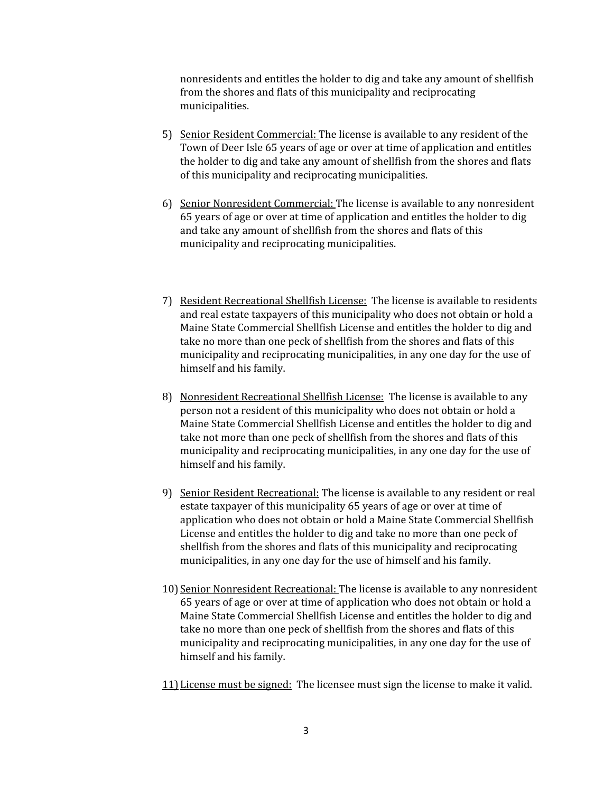nonresidents and entitles the holder to dig and take any amount of shellfish from the shores and flats of this municipality and reciprocating municipalities.

- 5) Senior Resident Commercial: The license is available to any resident of the Town of Deer Isle 65 years of age or over at time of application and entitles the holder to dig and take any amount of shellfish from the shores and flats of this municipality and reciprocating municipalities.
- 6) Senior Nonresident Commercial: The license is available to any nonresident 65 years of age or over at time of application and entitles the holder to dig and take any amount of shellfish from the shores and flats of this municipality and reciprocating municipalities.
- 7) Resident Recreational Shellfish License: The license is available to residents and real estate taxpayers of this municipality who does not obtain or hold a Maine State Commercial Shellfish License and entitles the holder to dig and take no more than one peck of shellfish from the shores and flats of this municipality and reciprocating municipalities, in any one day for the use of himself and his family.
- 8) Nonresident Recreational Shellfish License: The license is available to any person not a resident of this municipality who does not obtain or hold a Maine State Commercial Shellfish License and entitles the holder to dig and take not more than one peck of shellfish from the shores and flats of this municipality and reciprocating municipalities, in any one day for the use of himself and his family.
- 9) Senior Resident Recreational: The license is available to any resident or real estate taxpayer of this municipality 65 years of age or over at time of application who does not obtain or hold a Maine State Commercial Shellfish License and entitles the holder to dig and take no more than one peck of shellfish from the shores and flats of this municipality and reciprocating municipalities, in any one day for the use of himself and his family.
- 10) Senior Nonresident Recreational: The license is available to any nonresident 65 years of age or over at time of application who does not obtain or hold a Maine State Commercial Shellfish License and entitles the holder to dig and take no more than one peck of shellfish from the shores and flats of this municipality and reciprocating municipalities, in any one day for the use of himself and his family.
- 11) License must be signed: The licensee must sign the license to make it valid.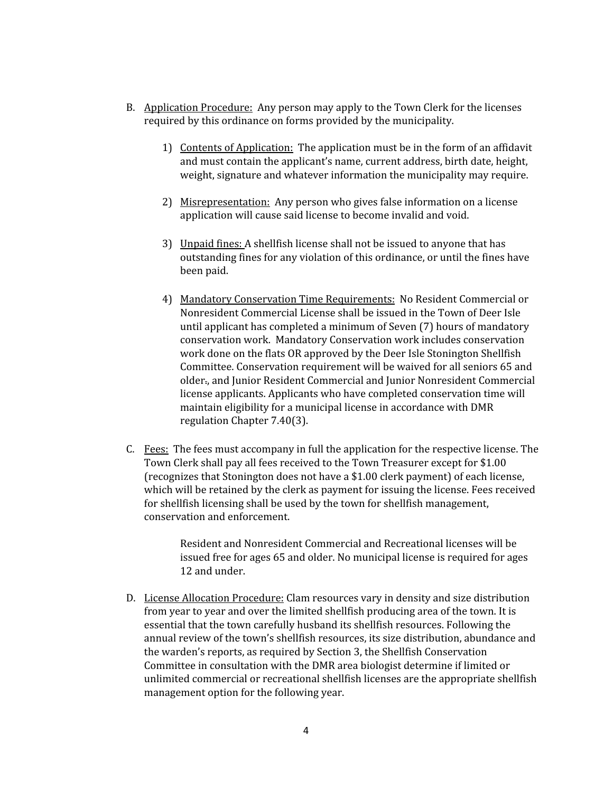- B. Application Procedure: Any person may apply to the Town Clerk for the licenses required by this ordinance on forms provided by the municipality.
	- 1) Contents of Application: The application must be in the form of an affidavit and must contain the applicant's name, current address, birth date, height, weight, signature and whatever information the municipality may require.
	- 2) Misrepresentation: Any person who gives false information on a license application will cause said license to become invalid and void.
	- 3) Unpaid fines: A shellfish license shall not be issued to anyone that has outstanding fines for any violation of this ordinance, or until the fines have been paid.
	- 4) Mandatory Conservation Time Requirements: No Resident Commercial or Nonresident Commercial License shall be issued in the Town of Deer Isle until applicant has completed a minimum of Seven (7) hours of mandatory conservation work. Mandatory Conservation work includes conservation work done on the flats OR approved by the Deer Isle Stonington Shellfish Committee. Conservation requirement will be waived for all seniors 65 and older., and Junior Resident Commercial and Junior Nonresident Commercial license applicants. Applicants who have completed conservation time will maintain eligibility for a municipal license in accordance with DMR regulation Chapter 7.40(3).
- C. Fees: The fees must accompany in full the application for the respective license. The Town Clerk shall pay all fees received to the Town Treasurer except for \$1.00 (recognizes that Stonington does not have a \$1.00 clerk payment) of each license, which will be retained by the clerk as payment for issuing the license. Fees received for shellfish licensing shall be used by the town for shellfish management, conservation and enforcement.

Resident and Nonresident Commercial and Recreational licenses will be issued free for ages 65 and older. No municipal license is required for ages 12 and under.

D. License Allocation Procedure: Clam resources vary in density and size distribution from year to year and over the limited shellfish producing area of the town. It is essential that the town carefully husband its shellfish resources. Following the annual review of the town's shellfish resources, its size distribution, abundance and the warden's reports, as required by Section 3, the Shellfish Conservation Committee in consultation with the DMR area biologist determine if limited or unlimited commercial or recreational shellfish licenses are the appropriate shellfish management option for the following year.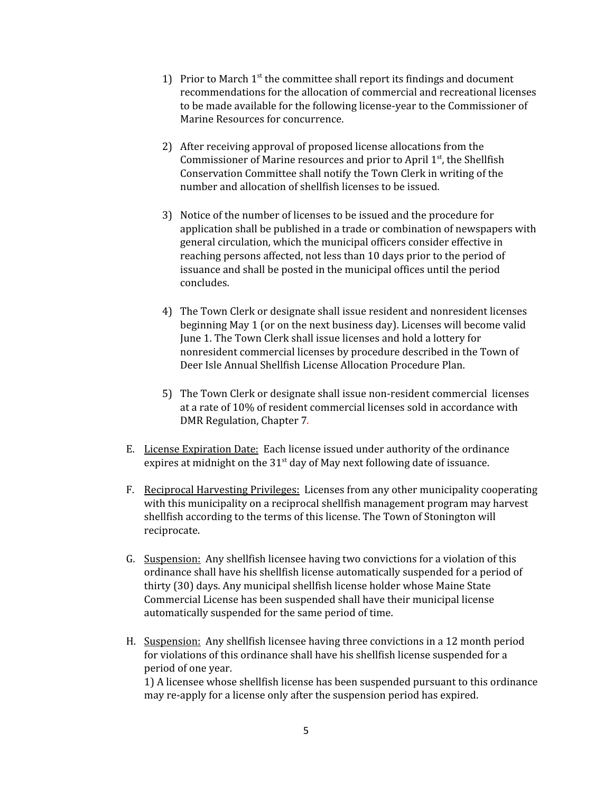- 1) Prior to March  $1<sup>st</sup>$  the committee shall report its findings and document recommendations for the allocation of commercial and recreational licenses to be made available for the following license-year to the Commissioner of Marine Resources for concurrence.
- 2) After receiving approval of proposed license allocations from the Commissioner of Marine resources and prior to April 1<sup>st</sup>, the Shellfish Conservation Committee shall notify the Town Clerk in writing of the number and allocation of shellfish licenses to be issued.
- 3) Notice of the number of licenses to be issued and the procedure for application shall be published in a trade or combination of newspapers with general circulation, which the municipal officers consider effective in reaching persons affected, not less than 10 days prior to the period of issuance and shall be posted in the municipal offices until the period concludes.
- 4) The Town Clerk or designate shall issue resident and nonresident licenses beginning May 1 (or on the next business day). Licenses will become valid June 1. The Town Clerk shall issue licenses and hold a lottery for nonresident commercial licenses by procedure described in the Town of Deer Isle Annual Shellfish License Allocation Procedure Plan.
- 5) The Town Clerk or designate shall issue non-resident commercial licenses at a rate of 10% of resident commercial licenses sold in accordance with DMR Regulation, Chapter 7*.*
- E. License Expiration Date: Each license issued under authority of the ordinance expires at midnight on the  $31<sup>st</sup>$  day of May next following date of issuance.
- F. Reciprocal Harvesting Privileges: Licenses from any other municipality cooperating with this municipality on a reciprocal shellfish management program may harvest shellfish according to the terms of this license. The Town of Stonington will reciprocate.
- G. Suspension: Any shellfish licensee having two convictions for a violation of this ordinance shall have his shellfish license automatically suspended for a period of thirty (30) days. Any municipal shellfish license holder whose Maine State Commercial License has been suspended shall have their municipal license automatically suspended for the same period of time.
- H. Suspension: Any shellfish licensee having three convictions in a 12 month period for violations of this ordinance shall have his shellfish license suspended for a period of one year.

1) A licensee whose shellfish license has been suspended pursuant to this ordinance may re-apply for a license only after the suspension period has expired.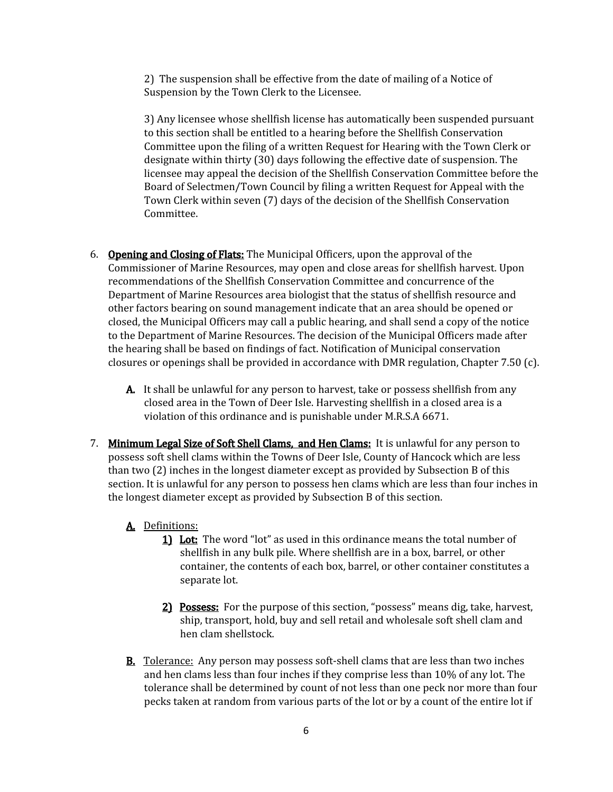2) The suspension shall be effective from the date of mailing of a Notice of Suspension by the Town Clerk to the Licensee.

3) Any licensee whose shellfish license has automatically been suspended pursuant to this section shall be entitled to a hearing before the Shellfish Conservation Committee upon the filing of a written Request for Hearing with the Town Clerk or designate within thirty (30) days following the effective date of suspension. The licensee may appeal the decision of the Shellfish Conservation Committee before the Board of Selectmen/Town Council by filing a written Request for Appeal with the Town Clerk within seven (7) days of the decision of the Shellfish Conservation Committee.

- 6. Opening and Closing of Flats: The Municipal Officers, upon the approval of the Commissioner of Marine Resources, may open and close areas for shellfish harvest. Upon recommendations of the Shellfish Conservation Committee and concurrence of the Department of Marine Resources area biologist that the status of shellfish resource and other factors bearing on sound management indicate that an area should be opened or closed, the Municipal Officers may call a public hearing, and shall send a copy of the notice to the Department of Marine Resources. The decision of the Municipal Officers made after the hearing shall be based on findings of fact. Notification of Municipal conservation closures or openings shall be provided in accordance with DMR regulation, Chapter 7.50 (c).
	- A. It shall be unlawful for any person to harvest, take or possess shellfish from any closed area in the Town of Deer Isle. Harvesting shellfish in a closed area is a violation of this ordinance and is punishable under M.R.S.A 6671.
- 7. Minimum Legal Size of Soft Shell Clams, and Hen Clams: It is unlawful for any person to possess soft shell clams within the Towns of Deer Isle, County of Hancock which are less than two (2) inches in the longest diameter except as provided by Subsection B of this section. It is unlawful for any person to possess hen clams which are less than four inches in the longest diameter except as provided by Subsection B of this section.

## A. Definitions:

- 1) Lot: The word "lot" as used in this ordinance means the total number of shellfish in any bulk pile. Where shellfish are in a box, barrel, or other container, the contents of each box, barrel, or other container constitutes a separate lot.
- 2) Possess: For the purpose of this section, "possess" means dig, take, harvest, ship, transport, hold, buy and sell retail and wholesale soft shell clam and hen clam shellstock.
- B. Tolerance: Any person may possess soft-shell clams that are less than two inches and hen clams less than four inches if they comprise less than 10% of any lot. The tolerance shall be determined by count of not less than one peck nor more than four pecks taken at random from various parts of the lot or by a count of the entire lot if